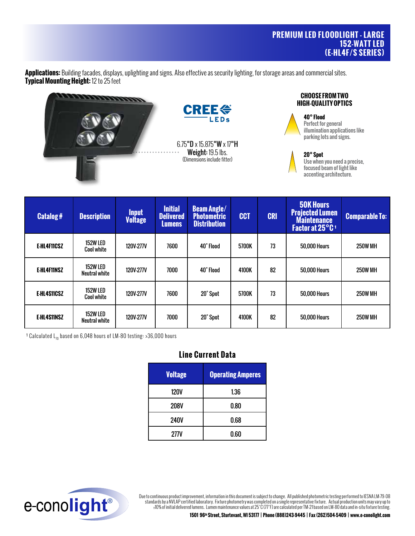**Applications:** Building facades, displays, uplighting and signs. Also effective as security lighting, for storage areas and commercial sites. **Typical Mounting Height:** 12 to 25 feet



| <b>Catalog#</b> | <b>Description</b>                   | <b>Input</b><br><b>Voltage</b> | <b>Initial</b><br><b>Delivered</b><br><b>Lumens</b> | <b>Beam Angle/</b><br><b>Photometric</b><br><b>Distribution</b> | <b>CCT</b> | <b>CRI</b> | <b>50K Hours</b><br><b>Projected Lumen</b><br><b>Maintenance</b><br>Factor at 25°C <sup>1</sup> | <b>Comparable To:</b> |
|-----------------|--------------------------------------|--------------------------------|-----------------------------------------------------|-----------------------------------------------------------------|------------|------------|-------------------------------------------------------------------------------------------------|-----------------------|
| E-HL4F11CSZ     | <b>152W LED</b><br><b>Cool white</b> | <b>120V-277V</b>               | 7600                                                | 40° Flood                                                       | 5700K      | 73         | <b>50,000 Hours</b>                                                                             | <b>250W MH</b>        |
| E-HL4F11NSZ     | 152W LED<br>Neutral white            | <b>120V-277V</b>               | 7000                                                | 40° Flood                                                       | 4100K      | 82         | <b>50,000 Hours</b>                                                                             | <b>250W MH</b>        |
| E-HL4S11CSZ     | 152W LED<br><b>Cool white</b>        | <b>120V-277V</b>               | 7600                                                | 20° Spot                                                        | 5700K      | 73         | <b>50.000 Hours</b>                                                                             | <b>250W MH</b>        |
| E-HL4S11NSZ     | 152W LED<br>Neutral white            | <b>120V-277V</b>               | 7000                                                | 20° Spot                                                        | 4100K      | 82         | <b>50.000 Hours</b>                                                                             | <b>250W MH</b>        |

<sup>1</sup> Calculated  $L_{70}$  based on 6,048 hours of LM-80 testing: >36,000 hours

# **Line Current Data**

| <b>Voltage</b> | <b>Operating Amperes</b> |  |  |  |
|----------------|--------------------------|--|--|--|
| 120V           | 1.36                     |  |  |  |
| <b>208V</b>    | 0.80                     |  |  |  |
| <b>240V</b>    | 0.68                     |  |  |  |
| 277V           | 0.60                     |  |  |  |



Due to continuous product improvement, information in this document is subject to change. All published photometric testing performed to IESNA LM-79-08 standards by a NVLAP certified laboratory. Fixture photometry was completed on a single representative fixture. Actual production units may vary up to ±10% of initial delivered lumens. Lumen maintenance values at 25˚C (77˚F) are calculated per TM-21 based on LM-80 data and in-situ fixture testing.